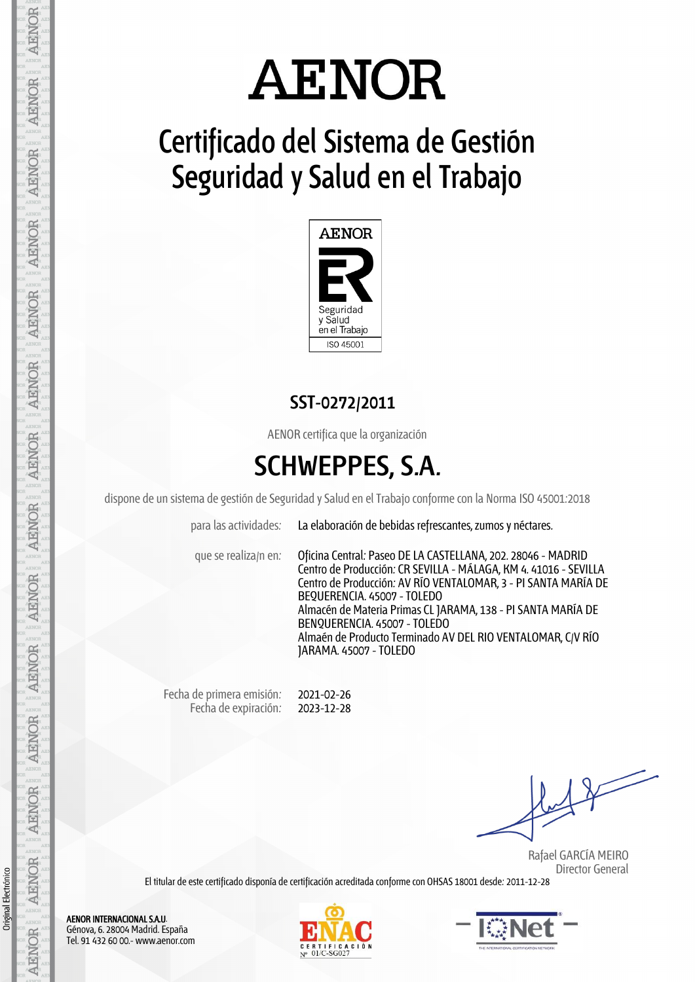# **AENOR**

## **Certificado del Sistema de Gestión Seguridad y Salud en el Trabajo**



### **SST-0272/2011**

AENOR certifica que la organización

## **SCHWEPPES, S.A.**

dispone de un sistema de gestión de Seguridad y Salud en el Trabajo conforme con la Norma ISO 45001:2018

JARAMA. 45007 - TOLEDO

para las actividades: La elaboración de bebidas refrescantes, zumos y néctares.

que se realiza/n en: Oficina Central: Paseo DE LA CASTELLANA, 202. 28046 - MADRID Centro de Producción: CR SEVILLA - MÁLAGA, KM 4. 41016 - SEVILLA Centro de Producción: AV RÍO VENTALOMAR, 3 - PI SANTA MARÍA DE BEQUERENCIA. 45007 -TOLEDO Almacén de Materia Primas CL JARAMA, 138 - PI SANTA MARÍA DE BENQUERENCIA. 45007 - TOLEDO Almaén de Producto Terminado AV DEL RIO VENTALOMAR, C/V RÍO

Fecha de primera emisión: Fecha de expiración: 2021-02-26 2023-12-28

 Rafael GARCÍA MEIRO Director General

El titular de este certificado disponía de certificación acreditada conforme con OHSAS 18001 desde: 2011-12-28

**AENOR AENOR AENOR AENOR AENOR ARNOR AENOR** AENOR **AENOR AENOR AENOR AENOR** Original Electrónico **AENOR** 

**AENOR** 

AENOR INTERNACIONAL S.A.U. Génova, 6. 28004 Madrid. España Tel. 91 432 60 00.- www.aenor.com